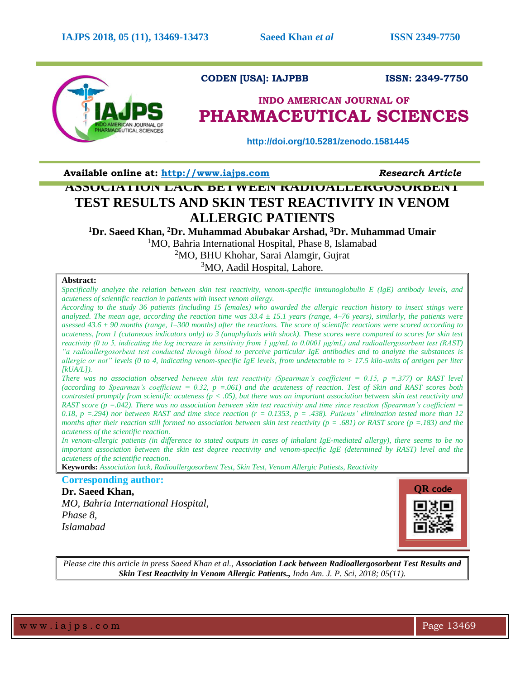

# **CODEN [USA]: IAJPBB ISSN: 2349-7750**

# **INDO AMERICAN JOURNAL OF PHARMACEUTICAL SCIENCES**

 **http://doi.org/10.5281/zenodo.1581445**

**Available online at: [http://www.iajps.com](http://www.iajps.com/)** *Research Article*

# **ASSOCIATION LACK BETWEEN RADIOALLERGOSORBENT TEST RESULTS AND SKIN TEST REACTIVITY IN VENOM ALLERGIC PATIENTS**

**<sup>1</sup>Dr. Saeed Khan, <sup>2</sup>Dr. Muhammad Abubakar Arshad, <sup>3</sup>Dr. Muhammad Umair**

<sup>1</sup>MO, Bahria International Hospital, Phase 8, Islamabad

<sup>2</sup>MO, BHU Khohar, Sarai Alamgir, Gujrat

<sup>3</sup>MO, Aadil Hospital, Lahore.

# **Abstract:**

*Specifically analyze the relation between skin test reactivity, venom-specific immunoglobulin E (IgE) antibody levels, and acuteness of scientific reaction in patients with insect venom allergy.* 

*According to the study 36 patients (including 15 females) who awarded the allergic reaction history to insect stings were analyzed. The mean age, according the reaction time was 33.4 ± 15.1 years (range, 4–76 years), similarly, the patients were asessed 43.6 ± 90 months (range, 1–300 months) after the reactions. The score of scientific reactions were scored according to acuteness, from 1 (cutaneous indicators only) to 3 (anaphylaxis with shock). These scores were compared to scores for skin test reactivity (0 to 5, indicating the log increase in sensitivity from 1 μg/mL to 0.0001 μg/mL) and radioallergosorbent test (RAST) "a radioallergosorbent test conducted through blood to perceive particular IgE antibodies and to analyze the substances is allergic or not" levels (0 to 4, indicating venom-specific IgE levels, from undetectable to > 17.5 kilo-units of antigen per liter [kUA/L]).*

*There was no association observed between skin test reactivity (Spearman's coefficient = 0.15, p =.377) or RAST level (according to Spearman's coefficient = 0.32, p =.061) and the acuteness of reaction. Test of Skin and RAST scores both contrasted promptly from scientific acuteness (p < .05), but there was an important association between skin test reactivity and RAST score (p =.042). There was no association between skin test reactivity and time since reaction (Spearman's coefficient =*  0.18, p = .294) nor between RAST and time since reaction  $(r = 0.1353, p = .438)$ . Patients' elimination tested more than 12 *months after their reaction still formed no association between skin test reactivity (p = .681) or RAST score (p =.183) and the acuteness of the scientific reaction.*

*In venom-allergic patients (in difference to stated outputs in cases of inhalant IgE-mediated allergy), there seems to be no important association between the skin test degree reactivity and venom-specific IgE (determined by RAST) level and the acuteness of the scientific reaction.*

**Keywords:** *Association lack, Radioallergosorbent Test, Skin Test, Venom Allergic Patiests, Reactivity*

**Corresponding author:** 

**Dr. Saeed Khan,**  *MO, Bahria International Hospital, Phase 8, Islamabad*



*Please cite this article in press Saeed Khan et al., Association Lack between Radioallergosorbent Test Results and Skin Test Reactivity in Venom Allergic Patients., Indo Am. J. P. Sci, 2018; 05(11).*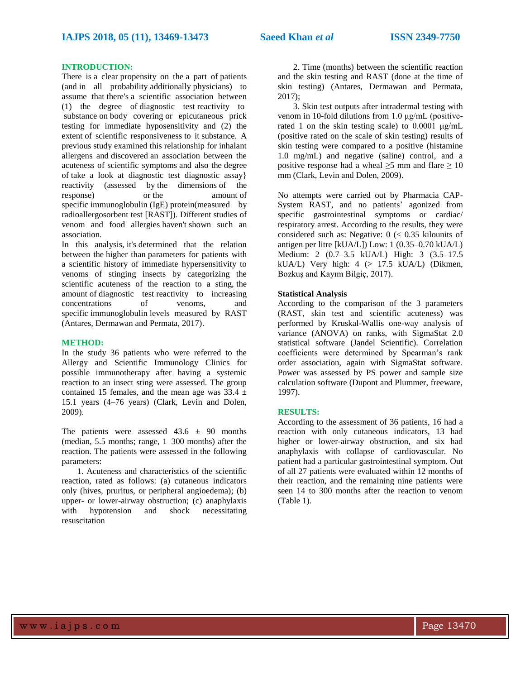## **INTRODUCTION:**

There is a clear propensity on the a part of patients (and in all probability additionally physicians) to assume that there's a scientific association between (1) the degree of diagnostic test reactivity to substance on body covering or epicutaneous prick testing for immediate hyposensitivity and (2) the extent of scientific responsiveness to it substance. A previous study examined this relationship for inhalant allergens and discovered an association between the acuteness of scientific symptoms and also the degree of take a look at diagnostic test diagnostic assay} reactivity (assessed by the dimensions of the response) or the amount of specific immunoglobulin (IgE) protein(measured by radioallergosorbent test [RAST]). Different studies of venom and food allergies haven't shown such an association.

In this analysis, it's determined that the relation between the higher than parameters for patients with a scientific history of immediate hypersensitivity to venoms of stinging insects by categorizing the scientific acuteness of the reaction to a sting, the amount of diagnostic test reactivity to increasing concentrations of venoms, and specific immunoglobulin levels measured by RAST (Antares, Dermawan and Permata, 2017).

# **METHOD:**

In the study 36 patients who were referred to the Allergy and Scientific Immunology Clinics for possible immunotherapy after having a systemic reaction to an insect sting were assessed. The group contained 15 females, and the mean age was  $33.4 \pm$ 15.1 years (4–76 years) (Clark, Levin and Dolen, 2009).

The patients were assessed  $43.6 \pm 90$  months (median, 5.5 months; range, 1–300 months) after the reaction. The patients were assessed in the following parameters:

1. Acuteness and characteristics of the scientific reaction, rated as follows: (a) cutaneous indicators only (hives, pruritus, or peripheral angioedema); (b) upper- or lower-airway obstruction; (c) anaphylaxis with hypotension and shock necessitating resuscitation

2. Time (months) between the scientific reaction and the skin testing and RAST (done at the time of skin testing) (Antares, Dermawan and Permata, 2017);

3. Skin test outputs after intradermal testing with venom in 10-fold dilutions from 1.0 μg/mL (positiverated 1 on the skin testing scale) to  $0.0001 \mu g/mL$ (positive rated on the scale of skin testing) results of skin testing were compared to a positive (histamine 1.0 mg/mL) and negative (saline) control, and a positive response had a wheal  $\geq 5$  mm and flare  $\geq 10$ mm (Clark, Levin and Dolen, 2009).

No attempts were carried out by Pharmacia CAP-System RAST, and no patients' agonized from specific gastrointestinal symptoms or cardiac/ respiratory arrest. According to the results, they were considered such as: Negative: 0 (< 0.35 kilounits of antigen per litre [kUA/L]) Low: 1 (0.35–0.70 kUA/L) Medium: 2 (0.7–3.5 kUA/L) High: 3 (3.5–17.5 kUA/L) Very high:  $4$  ( $> 17.5$  kUA/L) (Dikmen, Bozkuş and Kayım Bilgiç, 2017).

#### **Statistical Analysis**

According to the comparison of the 3 parameters (RAST, skin test and scientific acuteness) was performed by Kruskal-Wallis one-way analysis of variance (ANOVA) on ranks, with SigmaStat 2.0 statistical software (Jandel Scientific). Correlation coefficients were determined by Spearman's rank order association, again with SigmaStat software. Power was assessed by PS power and sample size calculation software (Dupont and Plummer, freeware, 1997).

## **RESULTS:**

According to the assessment of 36 patients, 16 had a reaction with only cutaneous indicators, 13 had higher or lower-airway obstruction, and six had anaphylaxis with collapse of cardiovascular. No patient had a particular gastrointestinal symptom. Out of all 27 patients were evaluated within 12 months of their reaction, and the remaining nine patients were seen 14 to 300 months after the reaction to venom (Table 1).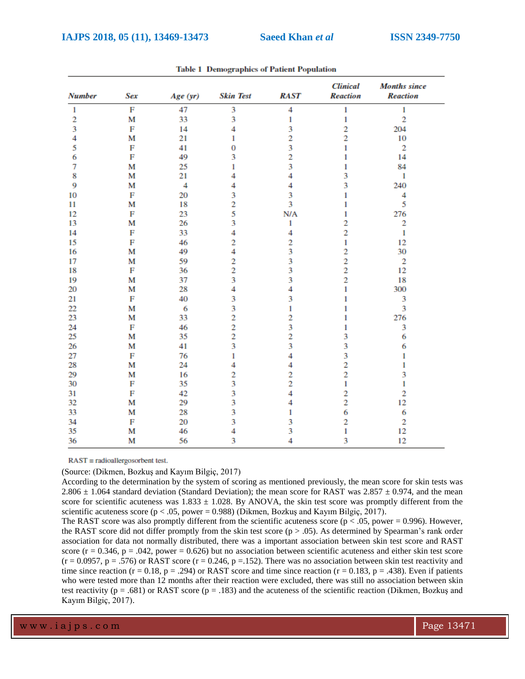| <b>Number</b>  | <b>Sex</b>   | Age (yr) | <b>Skin Test</b> | <b>RAST</b>    | <b>Clinical</b><br><b>Reaction</b> | <b>Months</b> since<br><b>Reaction</b> |
|----------------|--------------|----------|------------------|----------------|------------------------------------|----------------------------------------|
| $\mathbf{1}$   | $\mathbf{F}$ | 47       | 3                | $\overline{4}$ | $\mathbf{1}$                       | $\mathbf{1}$                           |
| $\overline{2}$ | M            | 33       | 3                | 1              | 1                                  | $\overline{2}$                         |
| 3              | F            | 14       | 4                | 3              | $\overline{2}$                     | 204                                    |
| 4              | M            | 21       | 1                | $\overline{2}$ | $\overline{c}$                     | 10                                     |
| 5              | F            | 41       | 0                | 3              | 1                                  | $\overline{2}$                         |
| 6              | F            | 49       | 3                | 2              | 1                                  | 14                                     |
| 7              | M            | 25       | 1                | 3              | 1                                  | 84                                     |
| 8              | M            | 21       | 4                | $\overline{4}$ | 3                                  | 1                                      |
| 9              | M            | 4        | 4                | 4              | 3                                  | 240                                    |
| 10             | F            | 20       | 3                | 3              | 1                                  | 4                                      |
| 11             | M            | 18       | $\overline{2}$   | 3              | 1                                  | 5                                      |
| 12             | F            | 23       | 5                | N/A            | 1                                  | 276                                    |
| 13             | M            | 26       | 3                | 1              | $\overline{c}$                     | $\overline{c}$                         |
| 14             | F            | 33       | 4                | 4              | $\overline{c}$                     | 1                                      |
| 15             | F            | 46       | 2                | $\overline{2}$ | 1                                  | 12                                     |
| 16             | M            | 49       | 4                | 3              | $\overline{c}$                     | 30                                     |
| 17             | M            | 59       | $\overline{2}$   | 3              | $\overline{2}$                     | $\overline{2}$                         |
| 18             | F            | 36       | 2                | 3              | $\overline{2}$                     | 12                                     |
| 19             | M            | 37       | 3                | 3              | $\overline{2}$                     | 18                                     |
| 20             | M            | 28       | 4                | 4              | 1                                  | 300                                    |
| 21             | F            | 40       | 3                | 3              | 1                                  | 3                                      |
| 22             | M            | 6        | 3                | 1              | 1                                  | 3                                      |
| 23             | M            | 33       | $\overline{2}$   | $\overline{c}$ | 1                                  | 276                                    |
| 24             | F            | 46       | 2                | 3              | 1                                  | 3                                      |
| 25             | M            | 35       | $\overline{2}$   | 2              | 3                                  | 6                                      |
| 26             | M            | 41       | 3                | 3              | 3                                  | 6                                      |
| 27             | F            | 76       | 1                | 4              | 3                                  | 1                                      |
| 28             | M            | 24       | 4                | 4              | $\overline{2}$                     | 1                                      |
| 29             | M            | 16       | $\overline{c}$   | $\overline{c}$ | $\overline{2}$                     | 3                                      |
| 30             | F            | 35       | 3                | $\overline{2}$ | $\mathbf{1}$                       | 1                                      |
| 31             | F            | 42       | 3                | 4              | $\overline{2}$                     | $\overline{2}$                         |
| 32             | M            | 29       | 3                | 4              | $\overline{c}$                     | 12                                     |
| 33             | M            | 28       | 3                | 1              | 6                                  | 6                                      |
| 34             | F            | 20       | 3                | 3              | $\overline{c}$                     | $\overline{2}$                         |
| 35             | M            | 46       | 4                | 3              | $\mathbf{1}$                       | 12                                     |
| 36             | М            | 56       | 3                | 4              | 3                                  | 12                                     |

**Table 1 Demographics of Patient Population** 

 $RAST = radioallergosor bent test.$ 

(Source: (Dikmen, Bozkuş and Kayım Bilgiç, 2017)

According to the determination by the system of scoring as mentioned previously, the mean score for skin tests was 2.806  $\pm$  1.064 standard deviation (Standard Deviation); the mean score for RAST was 2.857  $\pm$  0.974, and the mean score for scientific acuteness was  $1.833 \pm 1.028$ . By ANOVA, the skin test score was promptly different from the scientific acuteness score ( $p < .05$ , power = 0.988) (Dikmen, Bozkuş and Kayım Bilgiç, 2017).

The RAST score was also promptly different from the scientific acuteness score ( $p < .05$ , power = 0.996). However, the RAST score did not differ promptly from the skin test score ( $p > .05$ ). As determined by Spearman's rank order association for data not normally distributed, there was a important association between skin test score and RAST score ( $r = 0.346$ ,  $p = 0.042$ , power = 0.626) but no association between scientific acuteness and either skin test score  $(r = 0.0957, p = .576)$  or RAST score  $(r = 0.246, p = .152)$ . There was no association between skin test reactivity and time since reaction (r = 0.18, p = .294) or RAST score and time since reaction (r = 0.183, p = .438). Even if patients who were tested more than 12 months after their reaction were excluded, there was still no association between skin test reactivity ( $p = .681$ ) or RAST score ( $p = .183$ ) and the acuteness of the scientific reaction (Dikmen, Bozkuş and Kayım Bilgiç, 2017).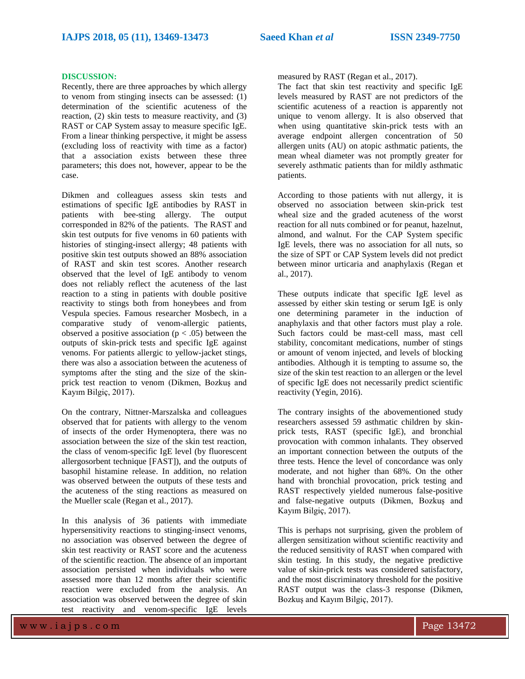#### **DISCUSSION:**

Recently, there are three approaches by which allergy to venom from stinging insects can be assessed: (1) determination of the scientific acuteness of the reaction, (2) skin tests to measure reactivity, and (3) RAST or CAP System assay to measure specific IgE. From a linear thinking perspective, it might be assess (excluding loss of reactivity with time as a factor) that a association exists between these three parameters; this does not, however, appear to be the case.

Dikmen and colleagues assess skin tests and estimations of specific IgE antibodies by RAST in patients with bee-sting allergy. The output corresponded in 82% of the patients. The RAST and skin test outputs for five venoms in 60 patients with histories of stinging-insect allergy; 48 patients with positive skin test outputs showed an 88% association of RAST and skin test scores. Another research observed that the level of IgE antibody to venom does not reliably reflect the acuteness of the last reaction to a sting in patients with double positive reactivity to stings both from honeybees and from Vespula species. Famous researcher Mosbech, in a comparative study of venom-allergic patients, observed a positive association ( $p < .05$ ) between the outputs of skin-prick tests and specific IgE against venoms. For patients allergic to yellow-jacket stings, there was also a association between the acuteness of symptoms after the sting and the size of the skinprick test reaction to venom (Dikmen, Bozkuş and Kayım Bilgiç, 2017).

On the contrary, Nittner-Marszalska and colleagues observed that for patients with allergy to the venom of insects of the order Hymenoptera, there was no association between the size of the skin test reaction, the class of venom-specific IgE level (by fluorescent allergosorbent technique [FAST]), and the outputs of basophil histamine release. In addition, no relation was observed between the outputs of these tests and the acuteness of the sting reactions as measured on the Mueller scale (Regan et al., 2017).

In this analysis of 36 patients with immediate hypersensitivity reactions to stinging-insect venoms, no association was observed between the degree of skin test reactivity or RAST score and the acuteness of the scientific reaction. The absence of an important association persisted when individuals who were assessed more than 12 months after their scientific reaction were excluded from the analysis. An association was observed between the degree of skin test reactivity and venom-specific IgE levels

measured by RAST (Regan et al., 2017).

The fact that skin test reactivity and specific IgE levels measured by RAST are not predictors of the scientific acuteness of a reaction is apparently not unique to venom allergy. It is also observed that when using quantitative skin-prick tests with an average endpoint allergen concentration of 50 allergen units (AU) on atopic asthmatic patients, the mean wheal diameter was not promptly greater for severely asthmatic patients than for mildly asthmatic patients.

According to those patients with nut allergy, it is observed no association between skin-prick test wheal size and the graded acuteness of the worst reaction for all nuts combined or for peanut, hazelnut, almond, and walnut. For the CAP System specific IgE levels, there was no association for all nuts, so the size of SPT or CAP System levels did not predict between minor urticaria and anaphylaxis (Regan et al., 2017).

These outputs indicate that specific IgE level as assessed by either skin testing or serum IgE is only one determining parameter in the induction of anaphylaxis and that other factors must play a role. Such factors could be mast-cell mass, mast cell stability, concomitant medications, number of stings or amount of venom injected, and levels of blocking antibodies. Although it is tempting to assume so, the size of the skin test reaction to an allergen or the level of specific IgE does not necessarily predict scientific reactivity (Yegin, 2016).

The contrary insights of the abovementioned study researchers assessed 59 asthmatic children by skinprick tests, RAST (specific IgE), and bronchial provocation with common inhalants. They observed an important connection between the outputs of the three tests. Hence the level of concordance was only moderate, and not higher than 68%. On the other hand with bronchial provocation, prick testing and RAST respectively yielded numerous false-positive and false-negative outputs (Dikmen, Bozkuş and Kayım Bilgiç, 2017).

This is perhaps not surprising, given the problem of allergen sensitization without scientific reactivity and the reduced sensitivity of RAST when compared with skin testing. In this study, the negative predictive value of skin-prick tests was considered satisfactory, and the most discriminatory threshold for the positive RAST output was the class-3 response (Dikmen, Bozkuş and Kayım Bilgiç, 2017).